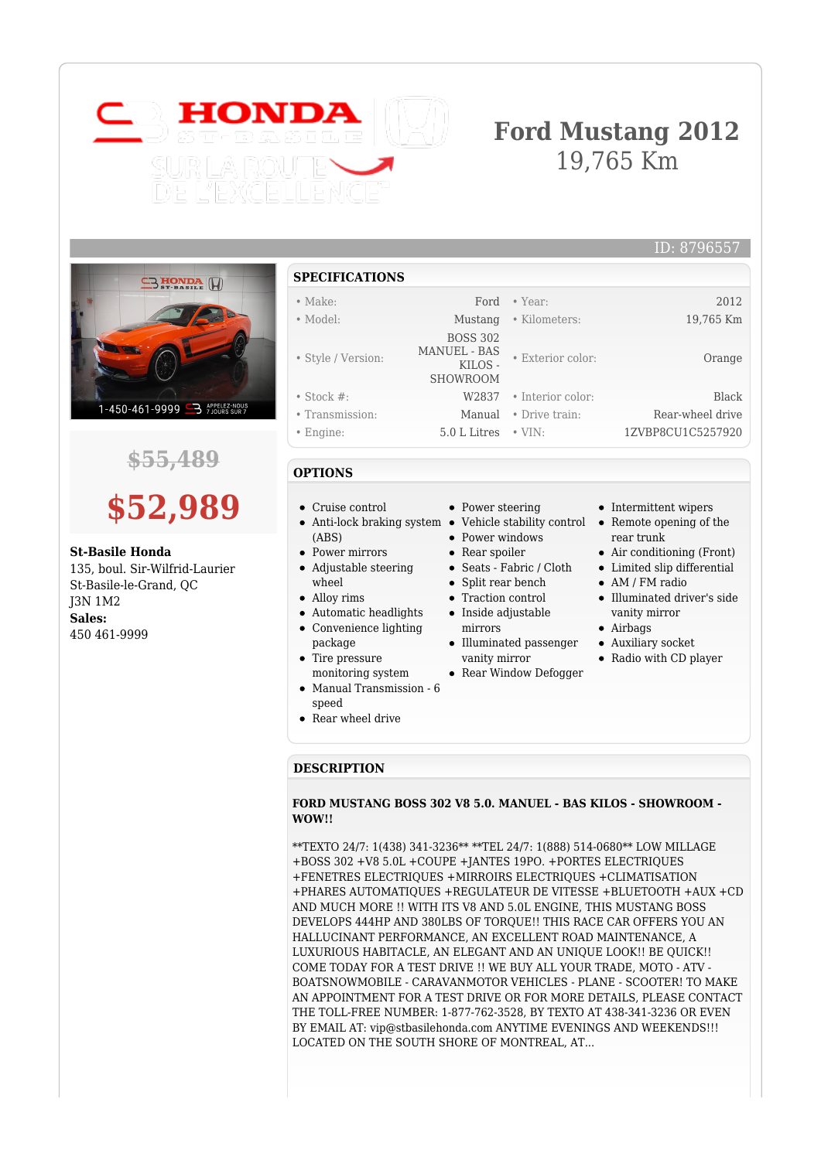

# **Ford Mustang 2012** 19,765 Km

• Exterior color: Orange



## **\$55,489**

# **\$52,989**

### **St-Basile Honda**

135, boul. Sir-Wilfrid-Laurier St-Basile-le-Grand, QC J3N 1M2 **Sales:** 450 461-9999

| <b>SPECIFICATIONS</b> |
|-----------------------|
|-----------------------|

### • Make: Ford • Year: 2012 • Model: Mustang • Kilometers: 19,765 Km

- 
- Style / Version:

 BOSS 302 MANUEL - BAS KILOS -SHOWROOM

• Power steering

• Power windows • Rear spoiler Seats - Fabric / Cloth • Split rear bench Traction control  $\bullet$  Inside adjustable mirrors

 $\bullet~$  Illuminated passenger vanity mirror • Rear Window Defogger

- Stock #: W2837 Interior color: Black
- Transmission: Manual Drive train: Rear-wheel drive
- Engine: 5.0 L Litres VIN: 1ZVBP8CU1C5257920

### **OPTIONS**

- Cruise control
- (ABS)
- Power mirrors
- Adjustable steering wheel
- Alloy rims
- Automatic headlights  $\bullet$
- Convenience lighting package
- Tire pressure  $\bullet$ monitoring system
- Manual Transmission 6 speed
- Rear wheel drive
- **DESCRIPTION**

### **FORD MUSTANG BOSS 302 V8 5.0. MANUEL - BAS KILOS - SHOWROOM - WOW!!**

\*\*TEXTO 24/7: 1(438) 341-3236\*\* \*\*TEL 24/7: 1(888) 514-0680\*\* LOW MILLAGE +BOSS 302 +V8 5.0L +COUPE +JANTES 19PO. +PORTES ELECTRIQUES +FENETRES ELECTRIQUES +MIRROIRS ELECTRIQUES +CLIMATISATION +PHARES AUTOMATIQUES +REGULATEUR DE VITESSE +BLUETOOTH +AUX +CD AND MUCH MORE !! WITH ITS V8 AND 5.0L ENGINE, THIS MUSTANG BOSS DEVELOPS 444HP AND 380LBS OF TORQUE!! THIS RACE CAR OFFERS YOU AN HALLUCINANT PERFORMANCE, AN EXCELLENT ROAD MAINTENANCE, A LUXURIOUS HABITACLE, AN ELEGANT AND AN UNIQUE LOOK!! BE QUICK!! COME TODAY FOR A TEST DRIVE !! WE BUY ALL YOUR TRADE, MOTO - ATV - BOATSNOWMOBILE - CARAVANMOTOR VEHICLES - PLANE - SCOOTER! TO MAKE AN APPOINTMENT FOR A TEST DRIVE OR FOR MORE DETAILS, PLEASE CONTACT THE TOLL-FREE NUMBER: 1-877-762-3528, BY TEXTO AT 438-341-3236 OR EVEN BY EMAIL AT: vip@stbasilehonda.com ANYTIME EVENINGS AND WEEKENDS!!! LOCATED ON THE SOUTH SHORE OF MONTREAL, AT...

- Intermittent wipers
- Anti-lock braking system Vehicle stability control Remote opening of the rear trunk
	- Air conditioning (Front)
	- Limited slip differential
	- AM / FM radio
	- Illuminated driver's side vanity mirror
	- Airbags
	- Auxiliary socket
	- Radio with CD player

ID: 8796557